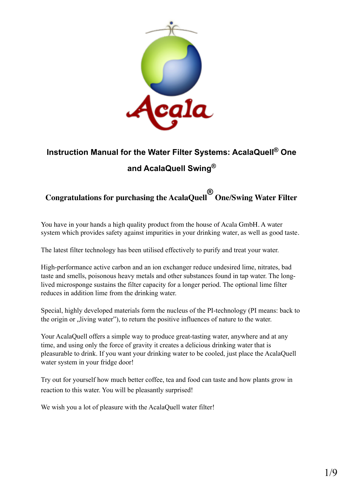

# **Instruction Manual for the Water Filter Systems: AcalaQuell® One and AcalaQuell Swing®**

**Congratulations for purchasing the AcalaQuell ® One/Swing Water Filter**

You have in your hands a high quality product from the house of Acala GmbH. A water system which provides safety against impurities in your drinking water, as well as good taste.

The latest filter technology has been utilised effectively to purify and treat your water.

High-performance active carbon and an ion exchanger reduce undesired lime, nitrates, bad taste and smells, poisonous heavy metals and other substances found in tap water. The longlived microsponge sustains the filter capacity for a longer period. The optional lime filter reduces in addition lime from the drinking water.

Special, highly developed materials form the nucleus of the PI-technology (PI means: back to the origin or  $\alpha$ , living water"), to return the positive influences of nature to the water.

Your AcalaQuell offers a simple way to produce great-tasting water, anywhere and at any time, and using only the force of gravity it creates a delicious drinking water that is pleasurable to drink. If you want your drinking water to be cooled, just place the AcalaQuell water system in your fridge door!

Try out for yourself how much better coffee, tea and food can taste and how plants grow in reaction to this water. You will be pleasantly surprised!

We wish you a lot of pleasure with the AcalaQuell water filter!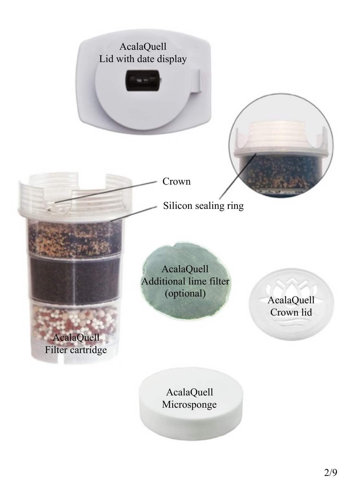



Crown

Silicon sealing ring

AcalaQuell Filter cartridge

AcalaQuell Additional lime filter (optional)

AcalaQuell Crown lid

AcalaQuell Microsponge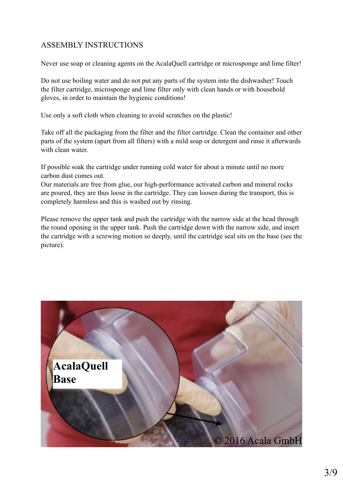## ASSEMBLY INSTRUCTIONS

Never use soap or cleaning agents on the AcalaQuell cartridge or microsponge and lime filter!

Do not use boiling water and do not put any parts of the system into the dishwasher! Touch the filter cartridge, microsponge and lime filter only with clean hands or with household gloves, in order to maintain the hygienic conditions!

Use only a soft cloth when cleaning to avoid scratches on the plastic!

Take off all the packaging from the filter and the filter cartridge. Clean the container and other parts of the system (apart from all filters) with a mild soap or detergent and rinse it afterwards with clean water

If possible soak the cartridge under running cold water for about a minute until no more carbon dust comes out.

Our materials are free from glue, our high-performance activated carbon and mineral rocks are poured, they are thus loose in the cartridge. They can loosen during the transport, this is completely harmless and this is washed out by rinsing.

Please remove the upper tank and push the cartridge with the narrow side at the head through the round opening in the upper tank. Push the cartridge down with the narrow side, and insert the cartridge with a screwing motion so deeply, until the cartridge seal sits on the base (see the picture).

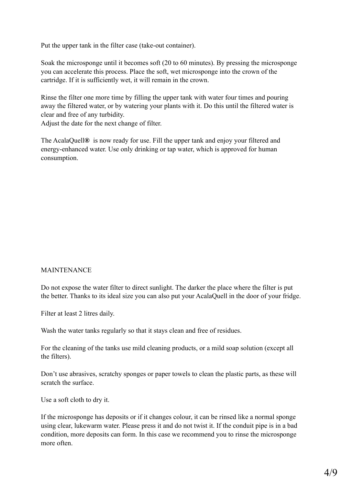Put the upper tank in the filter case (take-out container).

Soak the microsponge until it becomes soft (20 to 60 minutes). By pressing the microsponge you can accelerate this process. Place the soft, wet microsponge into the crown of the cartridge. If it is sufficiently wet, it will remain in the crown.

Rinse the filter one more time by filling the upper tank with water four times and pouring away the filtered water, or by watering your plants with it. Do this until the filtered water is clear and free of any turbidity.

Adjust the date for the next change of filter.

The AcalaQuell**®** is now ready for use. Fill the upper tank and enjoy your filtered and energy-enhanced water. Use only drinking or tap water, which is approved for human consumption.

#### MAINTENANCE

Do not expose the water filter to direct sunlight. The darker the place where the filter is put the better. Thanks to its ideal size you can also put your AcalaQuell in the door of your fridge.

Filter at least 2 litres daily.

Wash the water tanks regularly so that it stays clean and free of residues.

For the cleaning of the tanks use mild cleaning products, or a mild soap solution (except all the filters).

Don't use abrasives, scratchy sponges or paper towels to clean the plastic parts, as these will scratch the surface.

Use a soft cloth to dry it.

If the microsponge has deposits or if it changes colour, it can be rinsed like a normal sponge using clear, lukewarm water. Please press it and do not twist it. If the conduit pipe is in a bad condition, more deposits can form. In this case we recommend you to rinse the microsponge more often.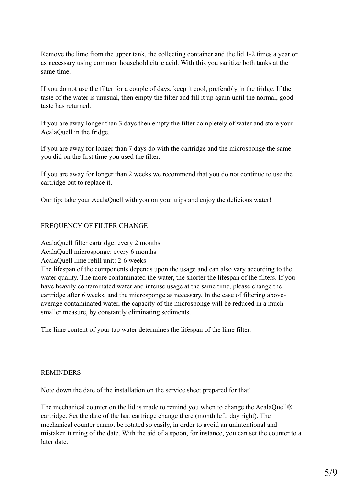Remove the lime from the upper tank, the collecting container and the lid 1-2 times a year or as necessary using common household citric acid. With this you sanitize both tanks at the same time.

If you do not use the filter for a couple of days, keep it cool, preferably in the fridge. If the taste of the water is unusual, then empty the filter and fill it up again until the normal, good taste has returned.

If you are away longer than 3 days then empty the filter completely of water and store your AcalaQuell in the fridge.

If you are away for longer than 7 days do with the cartridge and the microsponge the same you did on the first time you used the filter.

If you are away for longer than 2 weeks we recommend that you do not continue to use the cartridge but to replace it.

Our tip: take your AcalaQuell with you on your trips and enjoy the delicious water!

#### FREQUENCY OF FILTER CHANGE

AcalaQuell filter cartridge: every 2 months

AcalaQuell microsponge: every 6 months

AcalaQuell lime refill unit: 2-6 weeks

The lifespan of the components depends upon the usage and can also vary according to the water quality. The more contaminated the water, the shorter the lifespan of the filters. If you have heavily contaminated water and intense usage at the same time, please change the cartridge after 6 weeks, and the microsponge as necessary. In the case of filtering aboveaverage contaminated water, the capacity of the microsponge will be reduced in a much smaller measure, by constantly eliminating sediments.

The lime content of your tap water determines the lifespan of the lime filter.

#### **REMINDERS**

Note down the date of the installation on the service sheet prepared for that!

The mechanical counter on the lid is made to remind you when to change the AcalaQuell**®** cartridge. Set the date of the last cartridge change there (month left, day right). The mechanical counter cannot be rotated so easily, in order to avoid an unintentional and mistaken turning of the date. With the aid of a spoon, for instance, you can set the counter to a later date.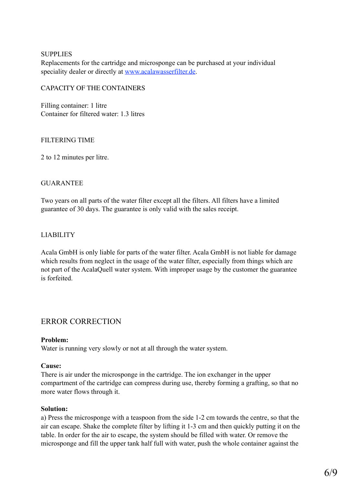**SUPPLIES** 

Replacements for the cartridge and microsponge can be purchased at your individual speciality dealer or directly at www.acalawasserfilter.de.

#### CAPACITY OF THE CONTAINERS

Filling container: 1 litre Container for filtered water: 1.3 litres

#### FILTERING TIME

2 to 12 minutes per litre.

#### **GUARANTEE**

Two years on all parts of the water filter except all the filters. All filters have a limited guarantee of 30 days. The guarantee is only valid with the sales receipt.

#### LIABILITY

Acala GmbH is only liable for parts of the water filter. Acala GmbH is not liable for damage which results from neglect in the usage of the water filter, especially from things which are not part of the AcalaQuell water system. With improper usage by the customer the guarantee is forfeited.

### ERROR CORRECTION

#### **Problem:**

Water is running very slowly or not at all through the water system.

#### **Cause:**

There is air under the microsponge in the cartridge. The ion exchanger in the upper compartment of the cartridge can compress during use, thereby forming a grafting, so that no more water flows through it.

#### **Solution:**

a) Press the microsponge with a teaspoon from the side 1-2 cm towards the centre, so that the air can escape. Shake the complete filter by lifting it 1-3 cm and then quickly putting it on the table. In order for the air to escape, the system should be filled with water. Or remove the microsponge and fill the upper tank half full with water, push the whole container against the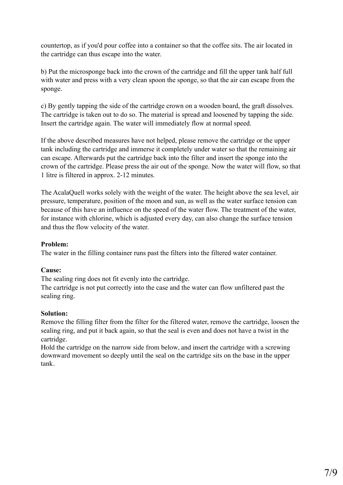countertop, as if you'd pour coffee into a container so that the coffee sits. The air located in the cartridge can thus escape into the water.

b) Put the microsponge back into the crown of the cartridge and fill the upper tank half full with water and press with a very clean spoon the sponge, so that the air can escape from the sponge.

c) By gently tapping the side of the cartridge crown on a wooden board, the graft dissolves. The cartridge is taken out to do so. The material is spread and loosened by tapping the side. Insert the cartridge again. The water will immediately flow at normal speed.

If the above described measures have not helped, please remove the cartridge or the upper tank including the cartridge and immerse it completely under water so that the remaining air can escape. Afterwards put the cartridge back into the filter and insert the sponge into the crown of the cartridge. Please press the air out of the sponge. Now the water will flow, so that 1 litre is filtered in approx. 2-12 minutes.

The AcalaQuell works solely with the weight of the water. The height above the sea level, air pressure, temperature, position of the moon and sun, as well as the water surface tension can because of this have an influence on the speed of the water flow. The treatment of the water, for instance with chlorine, which is adjusted every day, can also change the surface tension and thus the flow velocity of the water.

#### **Problem:**

The water in the filling container runs past the filters into the filtered water container.

#### **Cause:**

The sealing ring does not fit evenly into the cartridge.

The cartridge is not put correctly into the case and the water can flow unfiltered past the sealing ring.

#### **Solution:**

Remove the filling filter from the filter for the filtered water, remove the cartridge, loosen the sealing ring, and put it back again, so that the seal is even and does not have a twist in the cartridge.

Hold the cartridge on the narrow side from below, and insert the cartridge with a screwing downward movement so deeply until the seal on the cartridge sits on the base in the upper tank.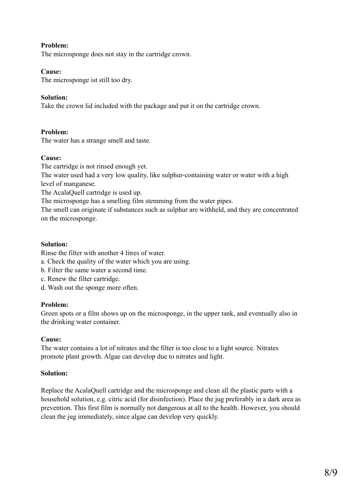#### **Problem:**

The microsponge does not stay in the cartridge crown.

#### **Cause:**

The microsponge ist still too dry.

#### **Solution:**

Take the crown lid included with the package and put it on the cartridge crown.

#### **Problem:**

The water has a strange smell and taste.

#### **Cause:**

The cartridge is not rinsed enough yet.

The water used had a very low quality, like sulphur-containing water or water with a high level of manganese.

The AcalaQuell cartridge is used up.

The microsponge has a smelling film stemming from the water pipes.

The smell can originate if substances such as sulphur are withheld, and they are concentrated on the microsponge.

#### **Solution:**

Rinse the filter with another 4 litres of water.

- a. Check the quality of the water which you are using.
- b. Filter the same water a second time.
- c. Renew the filter cartridge.
- d. Wash out the sponge more often.

#### **Problem:**

Green spots or a film shows up on the microsponge, in the upper tank, and eventually also in the drinking water container.

#### **Cause:**

The water contains a lot of nitrates and the filter is too close to a light source. Nitrates promote plant growth. Algae can develop due to nitrates and light.

#### **Solution:**

Replace the AcalaQuell cartridge and the microsponge and clean all the plastic parts with a household solution, e.g. citric acid (for disinfection). Place the jug preferably in a dark area as prevention. This first film is normally not dangerous at all to the health. However, you should clean the jug immediately, since algae can develop very quickly.